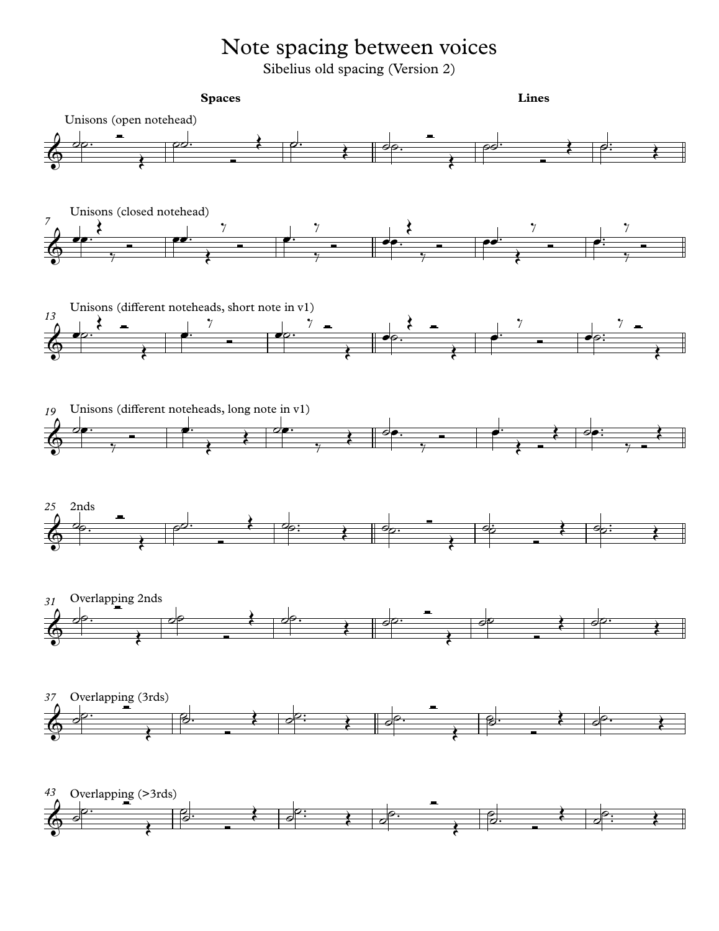## Note spacing between voices

Sibelius old spacing (Version 2)